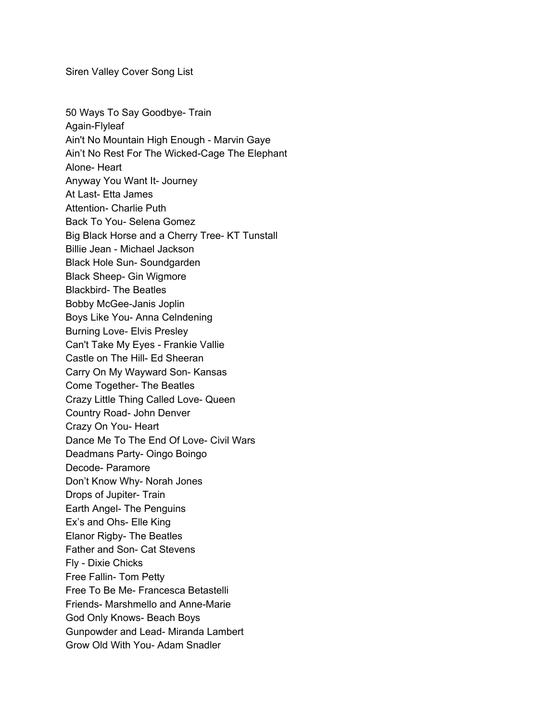Siren Valley Cover Song List

50 Ways To Say Goodbye- Train Again-Flyleaf Ain't No Mountain High Enough - Marvin Gaye Ain't No Rest For The Wicked-Cage The Elephant Alone- Heart Anyway You Want It- Journey At Last- Etta James Attention- Charlie Puth Back To You- Selena Gomez Big Black Horse and a Cherry Tree- KT Tunstall Billie Jean - Michael Jackson Black Hole Sun- Soundgarden Black Sheep- Gin Wigmore Blackbird- The Beatles Bobby McGee-Janis Joplin Boys Like You- Anna Celndening Burning Love- Elvis Presley Can't Take My Eyes - Frankie Vallie Castle on The Hill- Ed Sheeran Carry On My Wayward Son- Kansas Come Together- The Beatles Crazy Little Thing Called Love- Queen Country Road- John Denver Crazy On You- Heart Dance Me To The End Of Love- Civil Wars Deadmans Party- Oingo Boingo Decode- Paramore Don't Know Why- Norah Jones Drops of Jupiter- Train Earth Angel- The Penguins Ex's and Ohs- Elle King Elanor Rigby- The Beatles Father and Son- Cat Stevens Fly - Dixie Chicks Free Fallin- Tom Petty Free To Be Me- Francesca Betastelli Friends- Marshmello and Anne-Marie God Only Knows- Beach Boys Gunpowder and Lead- Miranda Lambert Grow Old With You- Adam Snadler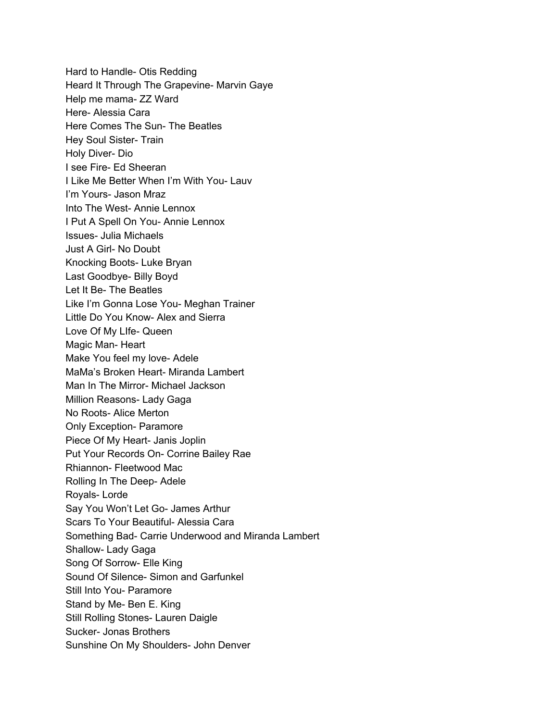Hard to Handle- Otis Redding Heard It Through The Grapevine- Marvin Gaye Help me mama- ZZ Ward Here- Alessia Cara Here Comes The Sun- The Beatles Hey Soul Sister- Train Holy Diver- Dio I see Fire- Ed Sheeran I Like Me Better When I'm With You- Lauv I'm Yours- Jason Mraz Into The West- Annie Lennox I Put A Spell On You- Annie Lennox Issues- Julia Michaels Just A Girl- No Doubt Knocking Boots- Luke Bryan Last Goodbye- Billy Boyd Let It Be- The Beatles Like I'm Gonna Lose You- Meghan Trainer Little Do You Know- Alex and Sierra Love Of My LIfe- Queen Magic Man- Heart Make You feel my love- Adele MaMa's Broken Heart- Miranda Lambert Man In The Mirror- Michael Jackson Million Reasons- Lady Gaga No Roots- Alice Merton Only Exception- Paramore Piece Of My Heart- Janis Joplin Put Your Records On- Corrine Bailey Rae Rhiannon- Fleetwood Mac Rolling In The Deep- Adele Royals- Lorde Say You Won't Let Go- James Arthur Scars To Your Beautiful- Alessia Cara Something Bad- Carrie Underwood and Miranda Lambert Shallow- Lady Gaga Song Of Sorrow- Elle King Sound Of Silence- Simon and Garfunkel Still Into You- Paramore Stand by Me- Ben E. King Still Rolling Stones- Lauren Daigle Sucker- Jonas Brothers Sunshine On My Shoulders- John Denver